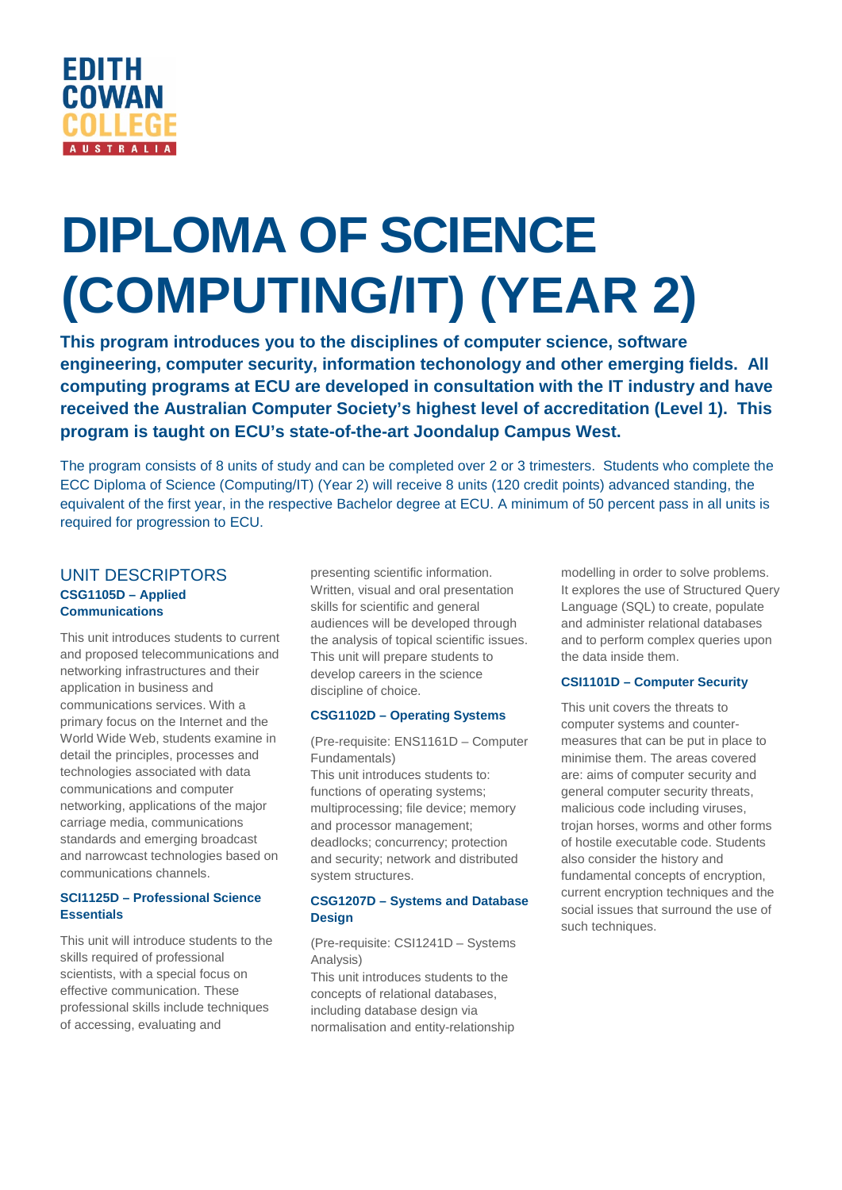

# **DIPLOMA OF SCIENCE (COMPUTING/IT) (YEAR 2)**

**This program introduces you to the disciplines of computer science, software engineering, computer security, information techonology and other emerging fields. All computing programs at ECU are developed in consultation with the IT industry and have received the Australian Computer Society's highest level of accreditation (Level 1). This program is taught on ECU's state-of-the-art Joondalup Campus West.**

The program consists of 8 units of study and can be completed over 2 or 3 trimesters. Students who complete the ECC Diploma of Science (Computing/IT) (Year 2) will receive 8 units (120 credit points) advanced standing, the equivalent of the first year, in the respective Bachelor degree at ECU. A minimum of 50 percent pass in all units is required for progression to ECU.

# UNIT DESCRIPTORS **CSG1105D – Applied Communications**

This unit introduces students to current and proposed telecommunications and networking infrastructures and their application in business and communications services. With a primary focus on the Internet and the World Wide Web, students examine in detail the principles, processes and technologies associated with data communications and computer networking, applications of the major carriage media, communications standards and emerging broadcast and narrowcast technologies based on communications channels.

## **SCI1125D – Professional Science Essentials**

This unit will introduce students to the skills required of professional scientists, with a special focus on effective communication. These professional skills include techniques of accessing, evaluating and

presenting scientific information. Written, visual and oral presentation skills for scientific and general audiences will be developed through the analysis of topical scientific issues. This unit will prepare students to develop careers in the science discipline of choice.

## **CSG1102D – Operating Systems**

(Pre-requisite: ENS1161D – Computer Fundamentals)

This unit introduces students to: functions of operating systems; multiprocessing; file device; memory and processor management; deadlocks; concurrency; protection and security; network and distributed system structures.

## **CSG1207D – Systems and Database Design**

(Pre-requisite: CSI1241D – Systems Analysis)

This unit introduces students to the concepts of relational databases, including database design via normalisation and entity-relationship modelling in order to solve problems. It explores the use of Structured Query Language (SQL) to create, populate and administer relational databases and to perform complex queries upon the data inside them.

## **CSI1101D – Computer Security**

This unit covers the threats to computer systems and countermeasures that can be put in place to minimise them. The areas covered are: aims of computer security and general computer security threats, malicious code including viruses, trojan horses, worms and other forms of hostile executable code. Students also consider the history and fundamental concepts of encryption, current encryption techniques and the social issues that surround the use of such techniques.